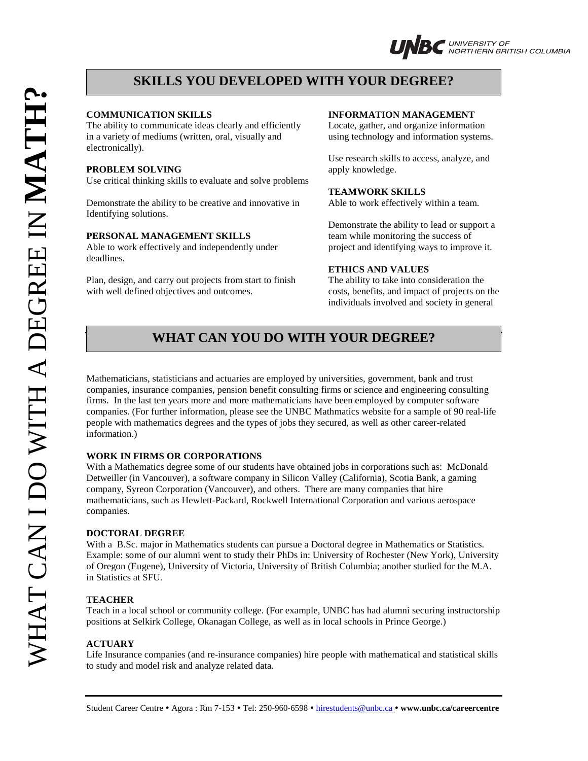# **SKILLS YOU DEVELOPED WITH YOUR DEGREE?**

The ability to communicate ideas clearly and efficiently Locate, gather, and organize information in a variety of mediums (written, oral, visually and using technology and information systems. electronically).

#### **PROBLEM SOLVING** apply knowledge.

Use critical thinking skills to evaluate and solve problems

Demonstrate the ability to be creative and innovative in Able to work effectively within a team. Identifying solutions.

#### **PERSONAL MANAGEMENT SKILLS** team while monitoring the success of

Able to work effectively and independently under project and identifying ways to improve it. deadlines.

Plan, design, and carry out projects from start to finish The ability to take into consideration the with well defined objectives and outcomes. costs, benefits, and impact of projects on the

#### **COMMUNICATION SKILLS INFORMATION MANAGEMENT**

Use research skills to access, analyze, and

### **TEAMWORK SKILLS**

Demonstrate the ability to lead or support a

# **ETHICS AND VALUES**

individuals involved and society in general

# **WHAT CAN YOU DO WITH YOUR DEGREE?**

Mathematicians, statisticians and actuaries are employed by universities, government, bank and trust companies, insurance companies, pension benefit consulting firms or science and engineering consulting firms. In the last ten years more and more mathematicians have been employed by computer software companies. (For further information, please see the UNBC Mathmatics website for a sample of 90 real-life people with mathematics degrees and the types of jobs they secured, as well as other career-related information.)

# **WORK IN FIRMS OR CORPORATIONS**

With a Mathematics degree some of our students have obtained jobs in corporations such as: McDonald Detweiller (in Vancouver), a software company in Silicon Valley (California), Scotia Bank, a gaming company, Syreon Corporation (Vancouver), and others. There are many companies that hire mathematicians, such as Hewlett-Packard, Rockwell International Corporation and various aerospace companies.

## **DOCTORAL DEGREE**

With a B.Sc. major in Mathematics students can pursue a Doctoral degree in Mathematics or Statistics. Example: some of our alumni went to study their PhDs in: University of Rochester (New York), University of Oregon (Eugene), University of Victoria, University of British Columbia; another studied for the M.A. in Statistics at SFU.

#### **TEACHER**

Teach in a local school or community college. (For example, UNBC has had alumni securing instructorship positions at Selkirk College, Okanagan College, as well as in local schools in Prince George.)

#### **ACTUARY**

Life Insurance companies (and re-insurance companies) hire people with mathematical and statistical skills to study and model risk and analyze related data.